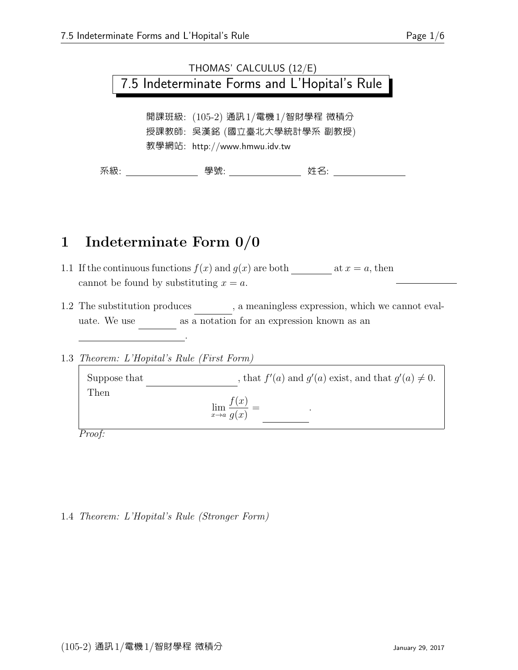## THOMAS' CALCULUS (12/E) 7.5 Indeterminate Forms and L'Hopital's Rule

開課班級: (105-2) 通訊1/電機1/智財學程 微積分 授課教師: 吳漢銘 (國立臺北大學統計學系 副教授) 教學網站: http://www.hmwu.idv.tw

系級: 學號: 姓名:

#### 1 Indeterminate Form 0/0

- 1.1 If the continuous functions  $f(x)$  and  $g(x)$  are both at  $x = a$ , then cannot be found by substituting  $x = a$ .
- 1.2 The substitution produces , a meaningless expression, which we cannot evaluate. We use  $\qquad$  as a notation for an expression known as an

1.3 Theorem: L'Hopital's Rule (First Form)

indeterminate form .

Suppose that  $f'(a)$  and  $g'(a)$  exist, and that  $g'(a) \neq 0$ . Then  $\lim_{x\to a}$  $f(x)$  $g(x)$  $=$ .

Proof:

#### 1.4 Theorem: L'Hopital's Rule (Stronger Form)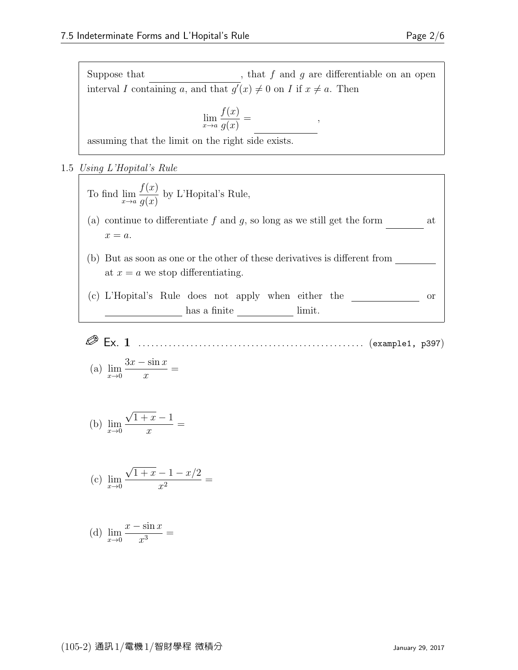Suppose that  $\hfill\label{eq:3}$  , that  $f$  and  $g$  are differentiable on an open interval I containing a, and that  $g'(x) \neq 0$  on I if  $x \neq a$ . Then

,

$$
\lim_{x \to a} \frac{f(x)}{g(x)} =
$$

assuming that the limit on the right side exists.

1.5 Using L'Hopital's Rule

To find 
$$
\lim_{x \to a} \frac{f(x)}{g(x)}
$$
 by L'Hopital's Rule,  
\n(a) continue to differentiate f and g, so long as we still get the form u at  $x = a$ .  
\n(b) But as soon as one or the other of these derivatives is different from u at  $x = a$  we stop differentiating.  
\n(c) L'Hopital's Rule does not apply when either the u on u has a finite u limit.

Ex. 1 . . . . . . . . . . . . . . . . . . . . . . . . . . . . . . . . . . . . . . . . . . . . . . . . . . . . (example1, p397)

(a) 
$$
\lim_{x \to 0} \frac{3x - \sin x}{x} =
$$

(b) 
$$
\lim_{x \to 0} \frac{\sqrt{1+x} - 1}{x} =
$$

(c) 
$$
\lim_{x \to 0} \frac{\sqrt{1+x} - 1 - x/2}{x^2} =
$$

(d) 
$$
\lim_{x \to 0} \frac{x - \sin x}{x^3} =
$$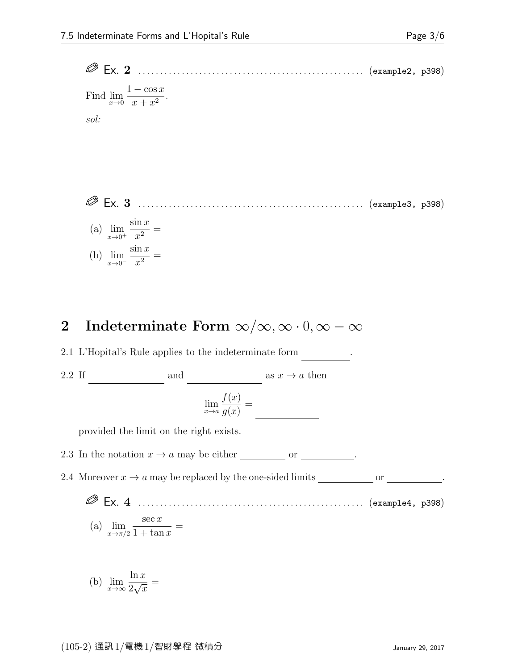Ex. 2 . . . . . . . . . . . . . . . . . . . . . . . . . . . . . . . . . . . . . . . . . . . . . . . . . . . . (example2, p398) Find  $\lim_{x\to 0}$  $1 - \cos x$  $\frac{\cos x}{x + x^2}$ . sol:

 Ex. 3 . . . . . . . . . . . . . . . . . . . . . . . . . . . . . . . . . . . . . . . . . . . . . . . . . . . . (example3, p398) (a)  $\lim_{x\to 0^+}$  $\sin x$  $\frac{1}{x^2} =$ (b)  $\lim_{x\to 0^-}$  $\sin x$  $\frac{1}{x^2} =$ 

### 2 Indeterminate Form  $\infty/\infty, \infty \cdot 0, \infty - \infty$

 $2.1\,$  L'Hopital's Rule applies to the indeterminate form  $\,$   $\,$   $\,$   $\,$   $\,$ 

2.2 If  $\frac{\text{and}}{\text{and}}$  and  $\frac{\text{and}}{\text{and}}$  as  $x \to a$  then

$$
\lim_{x \to a} \frac{f(x)}{g(x)} =
$$

provided the limit on the right exists.

2.3 In the notation  $x \to a$  may be either <u>finite or infinite or infinite or infinite .</u>

2.4 Moreover  $x \to a$  may be replaced by the one-sided limits  $\_\_\_\_\_\_\_$  or  $\_\_\_\_\_\_\_$ .

 Ex. 4 . . . . . . . . . . . . . . . . . . . . . . . . . . . . . . . . . . . . . . . . . . . . . . . . . . . . (example4, p398)  $\sec x$ =

(a) 
$$
\lim_{x \to \pi/2} \frac{\sec x}{1 + \tan x} =
$$

(b) 
$$
\lim_{x \to \infty} \frac{\ln x}{2\sqrt{x}} =
$$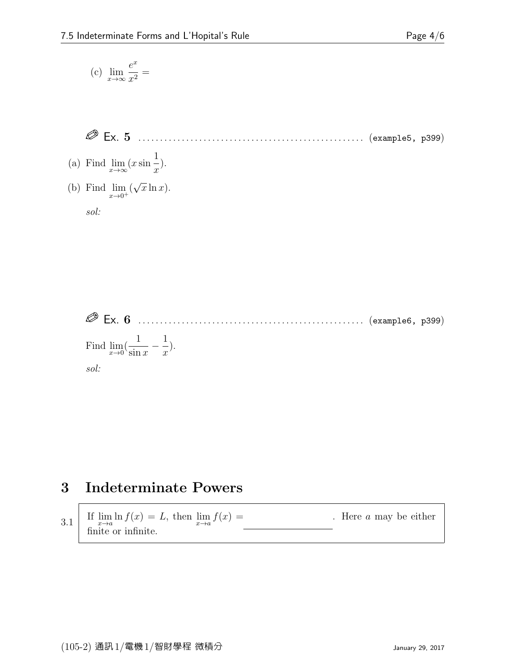$\overline{1}$ 

$$
(c) \ \lim_{x \to \infty} \frac{e^x}{x^2} =
$$

$$
\text{Ex. 5} \quad \ldots \quad \ldots \quad \ldots \quad \ldots \quad \ldots \quad \ldots \quad \ldots \quad \text{(example5, p399)}
$$

(a) Find 
$$
\lim_{x \to \infty} (x \sin \frac{1}{x}).
$$

(b) Find 
$$
\lim_{x \to 0^+} (\sqrt{x} \ln x)
$$
.

sol:



Find 
$$
\lim_{x \to 0} (\frac{1}{\sin x} - \frac{1}{x}).
$$
  
*sol:*

### 3 Indeterminate Powers

3.1 If 
$$
\lim_{x \to a} \ln f(x) = L
$$
, then  $\lim_{x \to a} f(x) =$  Here *a* may be either finite or infinite.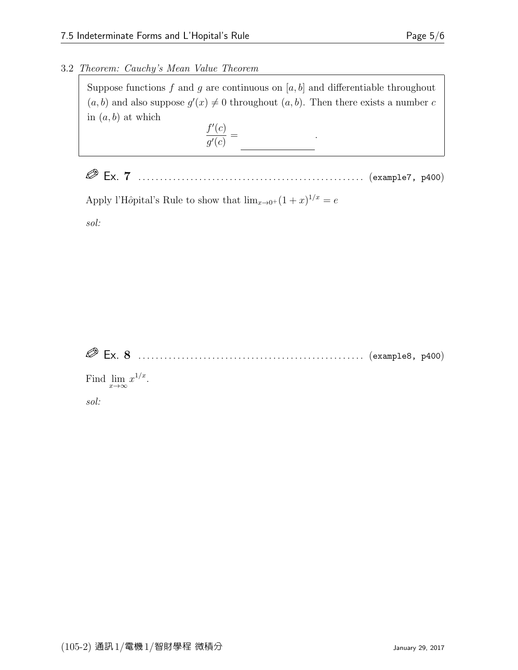#### 3.2 Theorem: Cauchy's Mean Value Theorem

Suppose functions f and g are continuous on  $[a, b]$  and differentiable throughout  $(a, b)$  and also suppose  $g'(x) \neq 0$  throughout  $(a, b)$ . Then there exists a number c in  $(a, b)$  at which  $f'(c)$ 

 $g'(c)$ = f(b) − f(a)

Ex. 7 . . . . . . . . . . . . . . . . . . . . . . . . . . . . . . . . . . . . . . . . . . . . . . . . . . . . (example7, p400)

.

Apply l'Hôpital's Rule to show that  $\lim_{x\to 0^+} (1+x)^{1/x} = e$ 

sol:

| $\oslash$ Ex. 8 |  |  |
|-----------------|--|--|
|                 |  |  |

Find  $\lim_{x\to\infty} x^{1/x}$ .

sol: